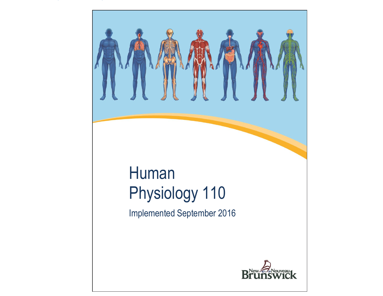# <span id="page-0-0"></span>Human Physiology 110 Implemented September 2016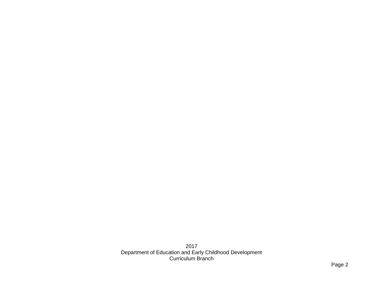201 7 Department of Education and Early Childhood Development Curriculum Branch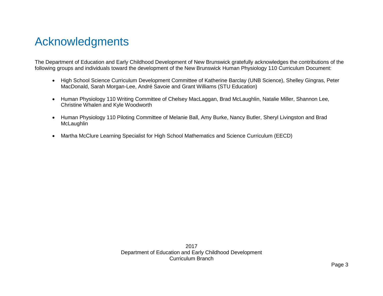# Acknowledgments

The Department of Education and Early Childhood Development of New Brunswick gratefully acknowledges the contributions of the following groups and individuals toward the development of the New Brunswick Human Physiology 110 Curriculum Document:

- High School Science Curriculum Development Committee of Katherine Barclay (UNB Science), Shelley Gingras, Peter MacDonald, Sarah Morgan-Lee, André Savoie and Grant Williams (STU Education)
- Human Physiology 110 Writing Committee of Chelsey MacLaggan, Brad McLaughlin, Natalie Miller, Shannon Lee, Christine Whalen and Kyle Woodworth
- Human Physiology 110 Piloting Committee of Melanie Ball, Amy Burke, Nancy Butler, Sheryl Livingston and Brad **McLaughlin**
- Martha McClure Learning Specialist for High School Mathematics and Science Curriculum (EECD)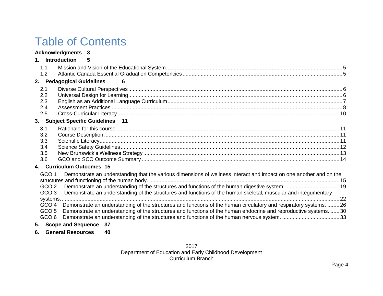# Table of Contents

## **[Acknowledgments](#page-0-0) 3**

|                                      | 1. Introduction 5                 |    |                                                                                                                                                                                                                   |  |  |  |  |  |
|--------------------------------------|-----------------------------------|----|-------------------------------------------------------------------------------------------------------------------------------------------------------------------------------------------------------------------|--|--|--|--|--|
| 1.1                                  |                                   |    |                                                                                                                                                                                                                   |  |  |  |  |  |
| 1.2                                  |                                   |    |                                                                                                                                                                                                                   |  |  |  |  |  |
|                                      | 2. Pedagogical Guidelines         | 6  |                                                                                                                                                                                                                   |  |  |  |  |  |
| 2.1                                  |                                   |    |                                                                                                                                                                                                                   |  |  |  |  |  |
| 2.2                                  |                                   |    |                                                                                                                                                                                                                   |  |  |  |  |  |
| 2.3                                  |                                   |    |                                                                                                                                                                                                                   |  |  |  |  |  |
| 2.4                                  |                                   |    |                                                                                                                                                                                                                   |  |  |  |  |  |
| 2.5                                  |                                   |    |                                                                                                                                                                                                                   |  |  |  |  |  |
|                                      | 3. Subject Specific Guidelines 11 |    |                                                                                                                                                                                                                   |  |  |  |  |  |
| 3.1                                  |                                   |    |                                                                                                                                                                                                                   |  |  |  |  |  |
| 3.2                                  |                                   |    |                                                                                                                                                                                                                   |  |  |  |  |  |
| 3.3                                  |                                   |    |                                                                                                                                                                                                                   |  |  |  |  |  |
| 3.4                                  |                                   |    |                                                                                                                                                                                                                   |  |  |  |  |  |
| 3.5                                  |                                   |    |                                                                                                                                                                                                                   |  |  |  |  |  |
| 3.6                                  |                                   |    |                                                                                                                                                                                                                   |  |  |  |  |  |
|                                      | 4. Curriculum Outcomes 15         |    |                                                                                                                                                                                                                   |  |  |  |  |  |
| GCO <sub>1</sub>                     |                                   |    | Demonstrate an understanding that the various dimensions of wellness interact and impact on one another and on the                                                                                                |  |  |  |  |  |
| GCO <sub>2</sub>                     |                                   |    | Demonstrate an understanding of the structures and functions of the human digestive system 19                                                                                                                     |  |  |  |  |  |
| GCO <sub>3</sub>                     |                                   |    | Demonstrate an understanding of the structures and functions of the human skeletal, muscular and integumentary                                                                                                    |  |  |  |  |  |
|                                      |                                   |    |                                                                                                                                                                                                                   |  |  |  |  |  |
| GCO 4                                |                                   |    | Demonstrate an understanding of the structures and functions of the human circulatory and respiratory systems. 26                                                                                                 |  |  |  |  |  |
| GCO <sub>5</sub><br>GCO <sub>6</sub> |                                   |    | Demonstrate an understanding of the structures and functions of the human endocrine and reproductive systems.  30<br>Demonstrate an understanding of the structures and functions of the human nervous system. 33 |  |  |  |  |  |
|                                      |                                   |    |                                                                                                                                                                                                                   |  |  |  |  |  |
|                                      | 5. Scope and Sequence 37          |    |                                                                                                                                                                                                                   |  |  |  |  |  |
|                                      | 6. General Resources              | 40 |                                                                                                                                                                                                                   |  |  |  |  |  |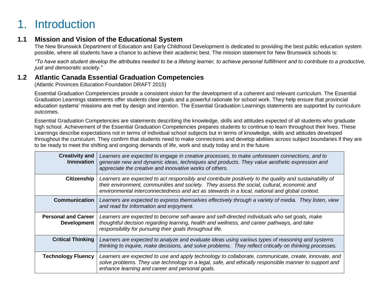# <span id="page-4-0"></span>1. Introduction

# <span id="page-4-1"></span>**1.1 Mission and Vision of the Educational System**

The New Brunswick Department of Education and Early Childhood Development is dedicated to providing the best public education system possible, where all students have a chance to achieve their academic best. The mission statement for New Brunswick schools is:

*"To have each student develop the attributes needed to be a lifelong learner, to achieve personal fulfillment and to contribute to a productive, just and democratic society."*

# <span id="page-4-2"></span>**1.2 Atlantic Canada Essential Graduation Competencies**

(Atlantic Provinces Education Foundation DRAFT 2015)

Essential Graduation Competencies provide a consistent vision for the development of a coherent and relevant curriculum. The Essential Graduation Learnings statements offer students clear goals and a powerful rationale for school work. They help ensure that provincial education systems' missions are met by design and intention. The Essential Graduation Learnings statements are supported by curriculum outcomes.

Essential Graduation Competencies are statements describing the knowledge, skills and attitudes expected of all students who graduate high school. Achievement of the Essential Graduation Competencies prepares students to continue to learn throughout their lives. These Learnings describe expectations not in terms of individual school subjects but in terms of knowledge, skills and attitudes developed throughout the curriculum. They confirm that students need to make connections and develop abilities across subject boundaries if they are to be ready to meet the shifting and ongoing demands of life, work and study today and in the future.

| <b>Creativity and</b><br><b>Innovation</b>       | Learners are expected to engage in creative processes, to make unforeseen connections, and to<br>generate new and dynamic ideas, techniques and products. They value aesthetic expression and<br>appreciate the creative and innovative works of others.                                               |  |  |
|--------------------------------------------------|--------------------------------------------------------------------------------------------------------------------------------------------------------------------------------------------------------------------------------------------------------------------------------------------------------|--|--|
| <b>Citizenship</b>                               | Learners are expected to act responsibly and contribute positively to the quality and sustainability of<br>their environment, communities and society. They assess the social, cultural, economic and<br>environmental interconnectedness and act as stewards in a local, national and global context. |  |  |
| <b>Communication</b>                             | Learners are expected to express themselves effectively through a variety of media. They listen, view<br>and read for information and enjoyment.                                                                                                                                                       |  |  |
| <b>Personal and Career</b><br><b>Development</b> | Learners are expected to become self-aware and self-directed individuals who set goals, make<br>thoughtful decision regarding learning, health and wellness, and career pathways, and take<br>responsibility for pursuing their goals throughout life.                                                 |  |  |
| <b>Critical Thinking</b>                         | Learners are expected to analyze and evaluate ideas using various types of reasoning and systems<br>thinking to inquire, make decisions, and solve problems. They reflect critically on thinking processes.                                                                                            |  |  |
| <b>Technology Fluency</b>                        | Learners are expected to use and apply technology to collaborate, communicate, create, innovate, and<br>solve problems. They use technology in a legal, safe, and ethically responsible manner to support and<br>enhance learning and career and personal goals.                                       |  |  |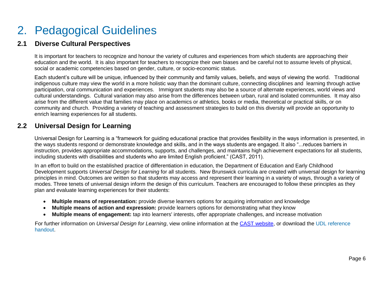# <span id="page-5-0"></span>2. Pedagogical Guidelines

# <span id="page-5-1"></span>**2.1 Diverse Cultural Perspectives**

It is important for teachers to recognize and honour the variety of cultures and experiences from which students are approaching their education and the world. It is also important for teachers to recognize their own biases and be careful not to assume levels of physical, social or academic competencies based on gender, culture, or socio-economic status.

Each student's culture will be unique, influenced by their community and family values, beliefs, and ways of viewing the world. Traditional indigenous culture may view the world in a more holistic way than the dominant culture, connecting disciplines and learning through active participation, oral communication and experiences. Immigrant students may also be a source of alternate experiences, world views and cultural understandings. Cultural variation may also arise from the differences between urban, rural and isolated communities. It may also arise from the different value that families may place on academics or athletics, books or media, theoretical or practical skills, or on community and church. Providing a variety of teaching and assessment strategies to build on this diversity will provide an opportunity to enrich learning experiences for all students.

# <span id="page-5-2"></span>**2.2 Universal Design for Learning**

Universal Design for Learning is a "framework for guiding educational practice that provides flexibility in the ways information is presented, in the ways students respond or demonstrate knowledge and skills, and in the ways students are engaged. It also "...reduces barriers in instruction, provides appropriate accommodations, supports, and challenges, and maintains high achievement expectations for all students, including students with disabilities and students who are limited English proficient." (CAST, 2011).

In an effort to build on the established practice of differentiation in education, the Department of Education and Early Childhood Development supports *Universal Design for Learning* for all students. New Brunswick curricula are created with universal design for learning principles in mind. Outcomes are written so that students may access and represent their learning in a variety of ways, through a variety of modes. Three tenets of universal design inform the design of this curriculum. Teachers are encouraged to follow these principles as they plan and evaluate learning experiences for their students:

- **Multiple means of representation:** provide diverse learners options for acquiring information and knowledge
- **Multiple means of action and expression:** provide learners options for demonstrating what they know
- **Multiple means of engagement:** tap into learners' interests, offer appropriate challenges, and increase motivation

For further information on *Universal Design for Learning*, view online information at [the CAST website,](http://www.cast.org/) or download the [UDL reference](https://portal.nbed.nb.ca/pd/Reading/UDL_PD/UDL%20Docs/October%20PD%20Day/Oct%2010%20Intro/Oct10_Intro%20output/story_content/external_files/Quick_Reference.pdf)  [handout.](https://portal.nbed.nb.ca/pd/Reading/UDL_PD/UDL%20Docs/October%20PD%20Day/Oct%2010%20Intro/Oct10_Intro%20output/story_content/external_files/Quick_Reference.pdf)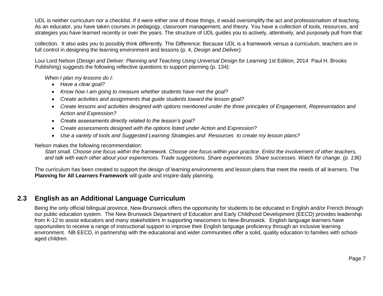UDL is neither curriculum nor a checklist. If it were either one of those things, it would oversimplify the act and professionalism of teaching. As an educator, you have taken courses in pedagogy, classroom management, and theory. You have a collection of tools, resources, and strategies you have learned recently or over the years. The structure of UDL guides you to actively, attentively, and purposely pull from that

collection. It also asks you to possibly think differently. The Difference: Because UDL is a framework versus a curriculum, teachers are in full control in designing the learning environment and lessons (p. 4, *Design and Deliver)*.

Loui Lord Nelson (*Design and Deliver: Planning and Teaching Using Universal Design for Learning* 1st Edition, 2014 Paul H. Brooks Publishing) *suggests* the following reflective questions to support planning (p. 134):

*When I plan my lessons do I:*

- *Have a clear goal?*
- *Know how I am going to measure whether students have met the goal?*
- *Create activities and assignments that guide students toward the lesson goal?*
- *Create lessons and activities designed with options mentioned under the three principles of Engagement, Representation and Action and Expression?*
- *Create assessments directly related to the lesson's goal?*
- *Create assessments designed with the options listed under Action and Expression?*
- *Use a variety of tools and Suggested Learning Strategies and Resources to create my lesson plans?*

Nelson makes the following recommendation:

*Start small. Choose one focus within the framework. Choose one focus within your practice. Enlist the involvement of other teachers, and talk with each other about your experiences. Trade suggestions. Share experiences. Share successes. Watch for change. (p. 136)*

The curriculum has been created to support the design of learning environments and lesson plans that meet the needs of all learners. The **Planning for All Learners Framework** will guide and inspire daily planning.

# <span id="page-6-0"></span>**2.3 English as an Additional Language Curriculum**

Being the only official bilingual province, New-Brunswick offers the opportunity for students to be educated in English and/or French through our public education system. The New Brunswick Department of Education and Early Childhood Development (EECD) provides leadership from K-12 to assist educators and many stakeholders in supporting newcomers to New-Brunswick. English language learners have opportunities to receive a range of instructional support to improve their English language proficiency through an inclusive learning environment. NB EECD, in partnership with the educational and wider communities offer a solid, quality education to families with schoolaged children.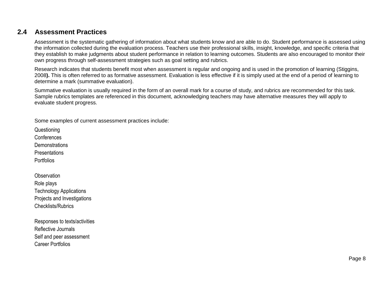# <span id="page-7-0"></span>**2.4 Assessment Practices**

Assessment is the systematic gathering of information about what students know and are able to do. Student performance is assessed using the information collected during the evaluation process. Teachers use their professional skills, insight, knowledge, and specific criteria that they establish to make judgments about student performance in relation to learning outcomes. Students are also encouraged to monitor their own progress through self-assessment strategies such as goal setting and rubrics.

Research indicates that students benefit most when assessment is regular and ongoing and is used in the promotion of learning (Stiggins, 2008**).** This is often referred to as formative assessment. Evaluation is less effective if it is simply used at the end of a period of learning to determine a mark (summative evaluation).

Summative evaluation is usually required in the form of an overall mark for a course of study, and rubrics are recommended for this task. Sample rubrics templates are referenced in this document, acknowledging teachers may have alternative measures they will apply to evaluate student progress.

Some examples of current assessment practices include:

**Questioning** Conferences

**Demonstrations** 

**Presentations** 

Portfolios

**Observation** Role plays Technology Applications Projects and Investigations Checklists/Rubrics

Responses to texts/activities Reflective Journals Self and peer assessment Career Portfolios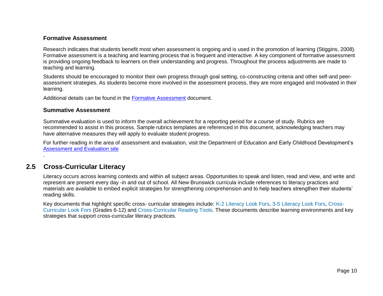#### **Formative Assessment**

Research indicates that students benefit most when assessment is ongoing and is used in the promotion of learning (Stiggins, 2008). Formative assessment is a teaching and learning process that is frequent and interactive. A key component of formative assessment is providing ongoing feedback to learners on their understanding and progress. Throughout the process adjustments are made to teaching and learning.

Students should be encouraged to monitor their own progress through goal setting, co-constructing criteria and other self-and peerassessment strategies. As students become more involved in the assessment process, they are more engaged and motivated in their learning.

Additional details can be found in the [Formative Assessment](https://portal.nbed.nb.ca/tr/lr/fora/General%20Formative%20Assessment%20Resources/Formative%20Assessment%20Foldout.pdf) document.

#### **Summative Assessment**

Summative evaluation is used to inform the overall achievement for a reporting period for a course of study. Rubrics are recommended to assist in this process. Sample rubrics templates are referenced in this document, acknowledging teachers may have alternative measures they will apply to evaluate student progress.

For further reading in the area of assessment and evaluation, visit the Department of Education and Early Childhood Development's [Assessment and Evaluation site](https://portal.nbed.nb.ca/tr/AaE/Pages/default.aspx)

# <span id="page-8-0"></span>**2.5 Cross-Curricular Literacy**

.

Literacy occurs across learning contexts and within all subject areas. Opportunities to speak and listen, read and view, and write and represent are present every day -in and out of school. All New Brunswick curricula include references to literacy practices and materials are available to embed explicit strategies for strengthening comprehension and to help teachers strengthen their students' reading skills.

Key documents that highlight specific cross- curricular strategies include: [K-2 Literacy Look Fors,](https://portal.nbed.nb.ca/tr/lr/Elementary%20School%20English%20Lang/Literacy%20Look%20Fors/Literacy%20Look%20Fors%20K%20-%202%20with%20Links.pdf) [3-5 Literacy Look Fors,](https://portal.nbed.nb.ca/tr/lr/Elementary%20School%20English%20Lang/Literacy%20Look%20Fors/Literacy%20Look%20Fors%20Grades%203%20-%205%20with%20links.pdf) [Cross-](https://portal.nbed.nb.ca/tr/lr/Curriculum%20Support%20Resources/CCLF%20Portal%20Version%20Links.pdf)[Curricular Look Fors](https://portal.nbed.nb.ca/tr/lr/Curriculum%20Support%20Resources/CCLF%20Portal%20Version%20Links.pdf) (Grades 6-12) and [Cross-Curricular Reading Tools.](https://portal.nbed.nb.ca/tr/lr/Curriculum%20Support%20Resources/Cross-Curricular%20Reading%20Tools.pdf) These documents describe learning environments and key strategies that support cross-curricular literacy practices.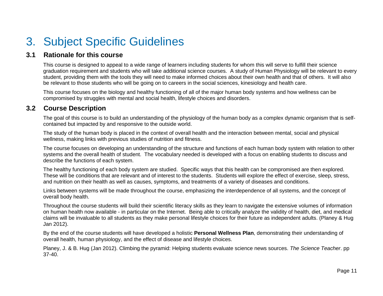# <span id="page-9-0"></span>3. Subject Specific Guidelines

# <span id="page-9-1"></span>**3.1 Rationale for this course**

This course is designed to appeal to a wide range of learners including students for whom this will serve to fulfill their science graduation requirement and students who will take additional science courses. A study of Human Physiology will be relevant to every student, providing them with the tools they will need to make informed choices about their own health and that of others. It will also be relevant to those students who will be going on to careers in the social sciences, kinesiology and health care.

This course focuses on the biology and healthy functioning of all of the major human body systems and how wellness can be compromised by struggles with mental and social health, lifestyle choices and disorders.

# <span id="page-9-2"></span>**3.2 Course Description**

The goal of this course is to build an understanding of the physiology of the human body as a complex dynamic organism that is selfcontained but impacted by and responsive to the outside world.

The study of the human body is placed in the context of overall health and the interaction between mental, social and physical wellness, making links with previous studies of nutrition and fitness.

The course focuses on developing an understanding of the structure and functions of each human body system with relation to other systems and the overall health of student. The vocabulary needed is developed with a focus on enabling students to discuss and describe the functions of each system.

The healthy functioning of each body system are studied. Specific ways that this health can be compromised are then explored. These will be conditions that are relevant and of interest to the students. Students will explore the effect of exercise, sleep, stress, and nutrition on their health as well as causes, symptoms, and treatments of a variety of diseases and conditions.

Links between systems will be made throughout the course, emphasizing the interdependence of all systems, and the concept of overall body health.

Throughout the course students will build their scientific literacy skills as they learn to navigate the extensive volumes of information on human health now available - in particular on the Internet. Being able to critically analyze the validity of health, diet, and medical claims will be invaluable to all students as they make personal lifestyle choices for their future as independent adults. (Planey & Hug Jan 2012).

By the end of the course students will have developed a holistic **Personal Wellness Plan**, demonstrating their understanding of overall health, human physiology, and the effect of disease and lifestyle choices.

<span id="page-9-3"></span>Planey, J. & B. Hug (Jan 2012). Climbing the pyramid: Helping students evaluate science news sources. *The Science Teacher*. pp 37-40.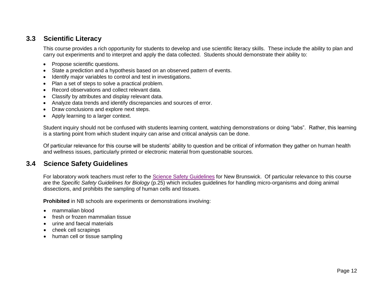# **3.3 Scientific Literacy**

This course provides a rich opportunity for students to develop and use scientific literacy skills. These include the ability to plan and carry out experiments and to interpret and apply the data collected. Students should demonstrate their ability to:

- Propose scientific questions.
- State a prediction and a hypothesis based on an observed pattern of events.
- Identify major variables to control and test in investigations.
- Plan a set of steps to solve a practical problem.
- Record observations and collect relevant data.
- Classify by attributes and display relevant data.
- Analyze data trends and identify discrepancies and sources of error.
- Draw conclusions and explore next steps.
- Apply learning to a larger context.

Student inquiry should not be confused with students learning content, watching demonstrations or doing "labs". Rather, this learning is a starting point from which student inquiry can arise and critical analysis can be done.

Of particular relevance for this course will be students' ability to question and be critical of information they gather on human health and wellness issues, particularly printed or electronic material from questionable sources.

# <span id="page-10-0"></span>**3.4 Science Safety Guidelines**

For laboratory work teachers must refer to the [Science Safety Guidelines](https://portal.nbed.nb.ca/tr/cd/Documents/Science%20Safety%20Guidelines%20(Draft%20June%202009).pdf) for New Brunswick. Of particular relevance to this course are the *Specific Safety Guidelines for Biology* (p.25) which includes guidelines for handling micro-organisms and doing animal dissections, and prohibits the sampling of human cells and tissues.

**Prohibited** in NB schools are experiments or demonstrations involving:

- mammalian blood
- fresh or frozen mammalian tissue
- urine and faecal materials
- cheek cell scrapings
- human cell or tissue sampling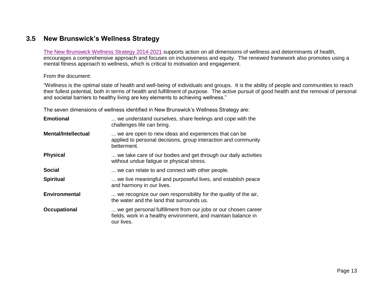# <span id="page-11-0"></span>**3.5 New Brunswick's Wellness Strategy**

[The New Brunswick Wellness Strategy 2014-2021](http://www2.gnb.ca/content/dam/gnb/Departments/sd-ds/pdf/Wellness-MieuxEtre/NewBrunswickWellnessStrategy2014-2021.pdf) supports action on all dimensions of wellness and determinants of health, encourages a comprehensive approach and focuses on inclusiveness and equity. The renewed framework also promotes using a mental fitness approach to wellness, which is critical to motivation and engagement.

#### From the document:

"Wellness is the optimal state of health and well-being of individuals and groups. It is the ability of people and communities to reach their fullest potential, both in terms of health and fulfillment of purpose. The active pursuit of good health and the removal of personal and societal barriers to healthy living are key elements to achieving wellness."

The seven dimensions of wellness identified in New Brunswick's Wellness Strategy are:

<span id="page-11-1"></span>

| <b>Emotional</b>           | we understand ourselves, share feelings and cope with the<br>challenges life can bring.                                                        |
|----------------------------|------------------------------------------------------------------------------------------------------------------------------------------------|
| <b>Mental/Intellectual</b> | we are open to new ideas and experiences that can be<br>applied to personal decisions, group interaction and community<br>betterment.          |
| <b>Physical</b>            | we take care of our bodies and get through our daily activities<br>without undue fatigue or physical stress.                                   |
| <b>Social</b>              | we can relate to and connect with other people.                                                                                                |
| <b>Spiritual</b>           | we live meaningful and purposeful lives, and establish peace<br>and harmony in our lives.                                                      |
| <b>Environmental</b>       | we recognize our own responsibility for the quality of the air,<br>the water and the land that surrounds us.                                   |
| <b>Occupational</b>        | we get personal fulfillment from our jobs or our chosen career<br>fields, work in a healthy environment, and maintain balance in<br>our lives. |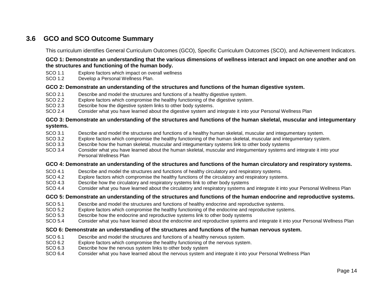# **3.6 GCO and SCO Outcome Summary**

This curriculum identifies General Curriculum Outcomes (GCO), Specific Curriculum Outcomes (SCO), and Achievement Indicators.

#### **GCO 1: Demonstrate an understanding that the various dimensions of wellness interact and impact on one another and on the structures and functioning of the human body.**

- SCO 1.1 Explore factors which impact on overall wellness
- SCO 1.2 Develop a Personal Wellness Plan.

#### **GCO 2: Demonstrate an understanding of the structures and functions of the human digestive system.**

- SCO 2.1 Describe and model the structures and functions of a healthy digestive system.
- SCO 2.2 Explore factors which compromise the healthy functioning of the digestive system.
- SCO 2.3 Describe how the digestive system links to other body systems.
- SCO 2.4 Consider what you have learned about the digestive system and integrate it into your Personal Wellness Plan

#### **GCO 3: Demonstrate an understanding of the structures and functions of the human skeletal, muscular and integumentary systems.**

- SCO 3.1 Describe and model the structures and functions of a healthy human skeletal, muscular and integumentary system.
- SCO 3.2 Explore factors which compromise the healthy functioning of the human skeletal, muscular and integumentary system.
- SCO 3.3 Describe how the human skeletal, muscular and integumentary systems link to other body systems
- SCO 3.4 Consider what you have learned about the human skeletal, muscular and integumentary systems and integrate it into your Personal Wellness Plan

#### **GCO 4: Demonstrate an understanding of the structures and functions of the human circulatory and respiratory systems.**

- SCO 4.1 Describe and model the structures and functions of healthy circulatory and respiratory systems.
- SCO 4.2 Explore factors which compromise the healthy functions of the circulatory and respiratory systems.
- SCO 4.3 Describe how the circulatory and respiratory systems link to other body systems
- SCO 4.4 Consider what you have learned about the circulatory and respiratory systems and integrate it into your Personal Wellness Plan

#### **GCO 5: Demonstrate an understanding of the structures and functions of the human endocrine and reproductive systems.**

- SCO 5.1 Describe and model the structures and functions of healthy endocrine and reproductive systems.
- SCO 5.2 Explore factors which compromise the healthy functioning of the endocrine and reproductive systems.
- SCO 5.3 Describe how the endocrine and reproductive systems link to other body systems
- SCO 5.4 Consider what you have learned about the endocrine and reproductive systems and integrate it into your Personal Wellness Plan

#### **SCO 6: Demonstrate an understanding of the structures and functions of the human nervous system.**

- SCO 6.1 Describe and model the structures and functions of a healthy nervous system.
- SCO 6.2 Explore factors which compromise the healthy functioning of the nervous system.
- SCO 6.3 Describe how the nervous system links to other body system
- SCO 6.4 Consider what you have learned about the nervous system and integrate it into your Personal Wellness Plan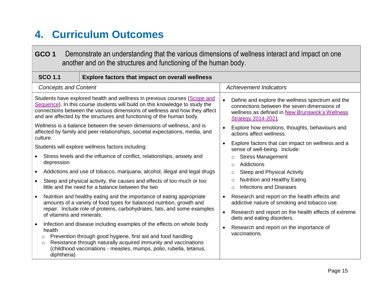# <span id="page-13-0"></span>**4. Curriculum Outcomes**

<span id="page-13-1"></span>

| <b>Achievement Indicators</b>                                                                                                                                                   |  |  |
|---------------------------------------------------------------------------------------------------------------------------------------------------------------------------------|--|--|
|                                                                                                                                                                                 |  |  |
|                                                                                                                                                                                 |  |  |
| Define and explore the wellness spectrum and the<br>connections between the seven dimensions of<br>wellness as defined in New Brunswick's Wellness<br><b>Strategy 2014-2021</b> |  |  |
| Explore how emotions, thoughts, behaviours and<br>actions affect wellness.                                                                                                      |  |  |
| Explore factors that can impact on wellness and a<br>$\bullet$<br>sense of well-being. Include:                                                                                 |  |  |
| <b>Stress Management</b><br>$\circ$<br><b>Addictions</b><br>$\Omega$                                                                                                            |  |  |
| Sleep and Physical Activity<br>$\circ$                                                                                                                                          |  |  |
| <b>Nutrition and Healthy Eating</b><br>$\circ$<br><b>Infections and Diseases</b><br>$\Omega$                                                                                    |  |  |
| Research and report on the health effects and<br>$\bullet$<br>addictive nature of smoking and tobacco use.                                                                      |  |  |
| Research and report on the health effects of extreme<br>$\bullet$<br>diets and eating disorders.                                                                                |  |  |
| Research and report on the importance of<br>vaccinations.                                                                                                                       |  |  |
|                                                                                                                                                                                 |  |  |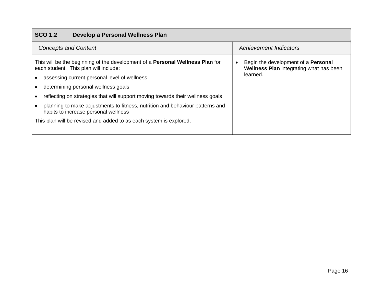| <b>SCO 1.2</b>              | Develop a Personal Wellness Plan                                                                                              |                                                                                       |
|-----------------------------|-------------------------------------------------------------------------------------------------------------------------------|---------------------------------------------------------------------------------------|
| <b>Concepts and Content</b> |                                                                                                                               | <b>Achievement Indicators</b>                                                         |
|                             | This will be the beginning of the development of a <b>Personal Wellness Plan</b> for<br>each student. This plan will include: | Begin the development of a <b>Personal</b><br>Wellness Plan integrating what has been |
|                             | assessing current personal level of wellness                                                                                  | learned.                                                                              |
|                             | determining personal wellness goals                                                                                           |                                                                                       |
|                             | reflecting on strategies that will support moving towards their wellness goals                                                |                                                                                       |
|                             | planning to make adjustments to fitness, nutrition and behaviour patterns and<br>habits to increase personal wellness         |                                                                                       |
|                             | This plan will be revised and added to as each system is explored.                                                            |                                                                                       |
|                             |                                                                                                                               |                                                                                       |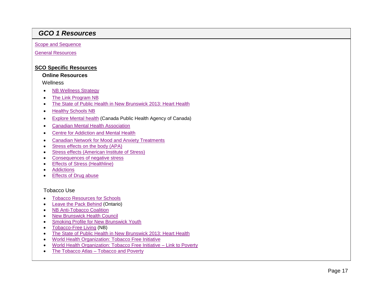# *GCO 1 Resources*

**[Scope and Sequence](#page-35-0)** 

[General Resources](#page-38-0)

#### **SCO Specific Resources**

#### **Online Resources**

**Wellness** 

- [NB Wellness Strategy](http://www2.gnb.ca/content/dam/gnb/Departments/sd-ds/pdf/Wellness-MieuxEtre/NewBrunswickWellnessStrategy2014-2021.pdf)
- [The Link Program NB](http://www.programmelemaillon.com/en/index.php?cat=Bienvenue)
- [The State of Public Health in New Brunswick 2013: Heart Health](http://www2.gnb.ca/content/dam/gnb/Departments/h-s/pdf/en/Publications/Heart_Health.pdf)
- [Healthy Schools NB](http://www2.gnb.ca/content/gnb/en/departments/social_development/wellness/content/school.html)
- [Explore Mental health](http://www.phac-aspc.gc.ca/mh-sm/mhp-psm/pmh-smp-eng.php) (Canada Public Health Agency of Canada)
- [Canadian Mental Health Association](http://www.cmha.ca/)
- [Centre for Addiction and Mental Health](http://www.camh.ca/en/hospital/Pages/home.aspx)
- [Canadian Network for Mood and Anxiety Treatments](http://www.canmat.org/)
- [Stress effects on the body](http://www.apa.org/helpcenter/stress-body.aspx) (APA)
- [Stress effects \(American](https://www.stress.org/stress-effects/) Institute of Stress)
- [Consequences of negative stress](https://www.mentalhelp.net/articles/the-long-term-consequences-of-negative-stress/)
- **[Effects of Stress \(Healthline\)](http://www.healthline.com/health/stress/effects-on-body)**
- [Addictions](https://www.mentalhelp.net/articles/addictions/)
- **[Effects of Drug abuse](https://www.drugabuse.gov/related-topics/health-consequences-drug-misuse)**

#### Tobacco Use

- [Tobacco Resources for Schools](https://www.interiorhealth.ca/sites/Partners/TobaccoResources/Documents/Tobacco%20Resources%20for%20Schools.pdf)
- [Leave the Pack Behind](https://www.leavethepackbehind.org/) (Ontario)
- [NB Anti-Tobacco Coalition](http://nbatc.ca/en/)
- [New Brunswick Health Council](http://www.nbhc.ca/)
- [Smoking Profile for New Brunswick Youth](https://uwaterloo.ca/canadian-student-tobacco-alcohol-drugs-survey/sites/ca.canadian-student-tobacco-alcohol-drugs-survey/files/uploads/files/NB08yss08_provincial_report_NB.pdf)
- [Tobacco-Free Living](http://www2.gnb.ca/content/gnb/en/departments/ocmoh/healthy_people/content/LivingTobaccoFree.html) (NB)
- [The State of Public Health in New Brunswick 2013: Heart Health](http://www2.gnb.ca/content/dam/gnb/Departments/h-s/pdf/en/Publications/Heart_Health.pdf)
- [World Health Organization: Tobacco Free Initiative](http://www.who.int/tobacco/en/)
- [World Health Organization: Tobacco Free Initiative –](http://www.who.int/tobacco/research/economics/rationale/poverty/en/) Link to Poverty
- The Tobacco Atlas [Tobacco and Poverty](http://www.tobaccoatlas.org/topic/tobacco-poverty/)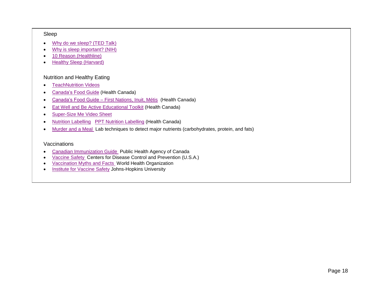#### Sleep

- [Why do we sleep?](https://www.ted.com/talks/russell_foster_why_do_we_sleep?language=en) (TED Talk)
- [Why is sleep important?](https://www.nhlbi.nih.gov/health/health-topics/topics/sdd/why) (NIH)
- 10 Reason [\(Healthline\)](http://www.healthline.com/nutrition/10-reasons-why-good-sleep-is-important)
- [Healthy Sleep \(Harvard\)](http://healthysleep.med.harvard.edu/healthy/)

#### Nutrition and Healthy Eating

- **•** [TeachNutrition Videos](http://maritime.teachnutrition.ca/en/teaching-nutrition/section/healthy-eating-tools/canada-food-guide/video-series.aspx)
- [Canada's Food Guide](http://www.hc-sc.gc.ca/fn-an/food-guide-aliment/order-commander/index-eng.php) (Health Canada)
- Canada's Food Guide [First Nations, Inuit, Métis](http://www.hc-sc.gc.ca/fn-an/food-guide-aliment/fnim-pnim/index-eng.php) (Health Canada)
- **[Eat Well and Be Active Educational Toolkit](http://www.hc-sc.gc.ca/fn-an/food-guide-aliment/educ-comm/toolkit-trousse/plan-1-eng.php) (Health Canada)**
- Super-Size Me Video Sheet
- [Nutrition Labelling](http://www.hc-sc.gc.ca/fn-an/label-etiquet/nutrition/index-eng.php) [PPT Nutrition Labelling](http://www.hc-sc.gc.ca/fn-an/label-etiquet/nutrition/educat/info-nutri-label-etiquet-eng.php) (Health Canada)
- [Murder and a Meal](http://sciencespot.net/Media/FrnsScience/MurderMeal.pdf) Lab techniques to detect major nutrients (carbohydrates, protein, and fats)

#### Vaccinations

- [Canadian Immunization Guide](http://www.phac-aspc.gc.ca/publicat/cig-gci/index-eng.php) Public Health Agency of Canada
- [Vaccine Safety](http://www.cdc.gov/vaccinesafety/index.html) Centers for Disease Control and Prevention (U.S.A.)
- [Vaccination Myths and Facts](http://www.who.int/features/qa/84/en/) World Health Organization
- <span id="page-16-0"></span>• [Institute for Vaccine Safety](http://www.vaccinesafety.edu/) Johns-Hopkins University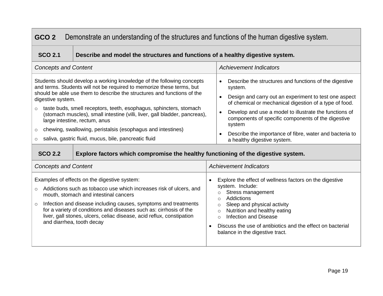| Demonstrate an understanding of the structures and functions of the human digestive system.<br>GCO <sub>2</sub> |                                                                                                                                                                                                                                                                                                                                                                                                                                                                                                                                                                                                                            |                                                                                                                                                                                                                                                                                                                                                                                                                                    |  |  |  |
|-----------------------------------------------------------------------------------------------------------------|----------------------------------------------------------------------------------------------------------------------------------------------------------------------------------------------------------------------------------------------------------------------------------------------------------------------------------------------------------------------------------------------------------------------------------------------------------------------------------------------------------------------------------------------------------------------------------------------------------------------------|------------------------------------------------------------------------------------------------------------------------------------------------------------------------------------------------------------------------------------------------------------------------------------------------------------------------------------------------------------------------------------------------------------------------------------|--|--|--|
| <b>SCO 2.1</b>                                                                                                  | Describe and model the structures and functions of a healthy digestive system.                                                                                                                                                                                                                                                                                                                                                                                                                                                                                                                                             |                                                                                                                                                                                                                                                                                                                                                                                                                                    |  |  |  |
| <b>Concepts and Content</b>                                                                                     |                                                                                                                                                                                                                                                                                                                                                                                                                                                                                                                                                                                                                            | <b>Achievement Indicators</b>                                                                                                                                                                                                                                                                                                                                                                                                      |  |  |  |
| digestive system.<br>$\circ$<br>$\circ$<br><b>SCO 2.2</b>                                                       | Students should develop a working knowledge of the following concepts<br>and terms. Students will not be required to memorize these terms, but<br>should be able use them to describe the structures and functions of the<br>taste buds, smell receptors, teeth, esophagus, sphincters, stomach<br>(stomach muscles), small intestine (villi, liver, gall bladder, pancreas),<br>large intestine, rectum, anus<br>chewing, swallowing, peristalsis (esophagus and intestines)<br>saliva, gastric fluid, mucus, bile, pancreatic fluid<br>Explore factors which compromise the healthy functioning of the digestive system. | Describe the structures and functions of the digestive<br>system.<br>Design and carry out an experiment to test one aspect<br>$\bullet$<br>of chemical or mechanical digestion of a type of food.<br>Develop and use a model to illustrate the functions of<br>$\bullet$<br>components of specific components of the digestive<br>system<br>Describe the importance of fibre, water and bacteria to<br>a healthy digestive system. |  |  |  |
| <b>Concepts and Content</b>                                                                                     |                                                                                                                                                                                                                                                                                                                                                                                                                                                                                                                                                                                                                            | <b>Achievement Indicators</b>                                                                                                                                                                                                                                                                                                                                                                                                      |  |  |  |
| $\circ$                                                                                                         | Examples of effects on the digestive system:<br>Addictions such as tobacco use which increases risk of ulcers, and<br>mouth, stomach and intestinal cancers<br>Infection and disease including causes, symptoms and treatments<br>for a variety of conditions and diseases such as: cirrhosis of the<br>liver, gall stones, ulcers, celiac disease, acid reflux, constipation<br>and diarrhea, tooth decay                                                                                                                                                                                                                 | Explore the effect of wellness factors on the digestive<br>$\bullet$<br>system. Include:<br><b>Stress management</b><br>$\circ$<br>Addictions<br>$\circ$<br>Sleep and physical activity<br>$\circ$<br>Nutrition and healthy eating<br>$\circ$<br><b>Infection and Disease</b><br>$\circ$<br>Discuss the use of antibiotics and the effect on bacterial<br>$\bullet$<br>balance in the digestive tract.                             |  |  |  |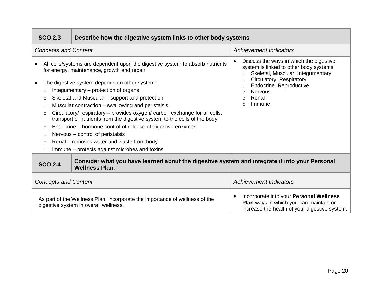| <b>SCO 2.3</b>                                                                                                                           | Describe how the digestive system links to other body systems                                                                                                                                                                                                                                                                                                                                                                                                                                                                                                                                                                                                                            |                                                                                                                                                                                                                                                                 |  |  |
|------------------------------------------------------------------------------------------------------------------------------------------|------------------------------------------------------------------------------------------------------------------------------------------------------------------------------------------------------------------------------------------------------------------------------------------------------------------------------------------------------------------------------------------------------------------------------------------------------------------------------------------------------------------------------------------------------------------------------------------------------------------------------------------------------------------------------------------|-----------------------------------------------------------------------------------------------------------------------------------------------------------------------------------------------------------------------------------------------------------------|--|--|
| <b>Concepts and Content</b>                                                                                                              |                                                                                                                                                                                                                                                                                                                                                                                                                                                                                                                                                                                                                                                                                          | <b>Achievement Indicators</b>                                                                                                                                                                                                                                   |  |  |
| $\circ$<br>$\circ$<br>$\circ$<br>$\circ$<br>$\circ$<br>$\circ$<br>$\circ$<br>$\circ$                                                     | All cells/systems are dependent upon the digestive system to absorb nutrients<br>for energy, maintenance, growth and repair<br>The digestive system depends on other systems:<br>Integumentary – protection of organs<br>Skeletal and Muscular - support and protection<br>Muscular contraction – swallowing and peristalsis<br>Circulatory/ respiratory - provides oxygen/ carbon exchange for all cells,<br>transport of nutrients from the digestive system to the cells of the body<br>Endocrine – hormone control of release of digestive enzymes<br>Nervous – control of peristalsis<br>Renal – removes water and waste from body<br>Immune – protects against microbes and toxins | Discuss the ways in which the digestive<br>system is linked to other body systems<br>Skeletal, Muscular, Integumentary<br>$\circ$<br>Circulatory, Respiratory<br>$\circ$<br>Endocrine, Reproductive<br>$\circ$<br><b>Nervous</b><br>Renal<br>$\Omega$<br>Immune |  |  |
| Consider what you have learned about the digestive system and integrate it into your Personal<br><b>SCO 2.4</b><br><b>Wellness Plan.</b> |                                                                                                                                                                                                                                                                                                                                                                                                                                                                                                                                                                                                                                                                                          |                                                                                                                                                                                                                                                                 |  |  |
| <b>Concepts and Content</b>                                                                                                              |                                                                                                                                                                                                                                                                                                                                                                                                                                                                                                                                                                                                                                                                                          | <b>Achievement Indicators</b>                                                                                                                                                                                                                                   |  |  |
|                                                                                                                                          | As part of the Wellness Plan, incorporate the importance of wellness of the<br>digestive system in overall wellness.                                                                                                                                                                                                                                                                                                                                                                                                                                                                                                                                                                     | Incorporate into your Personal Wellness<br>Plan ways in which you can maintain or<br>increase the health of your digestive system.                                                                                                                              |  |  |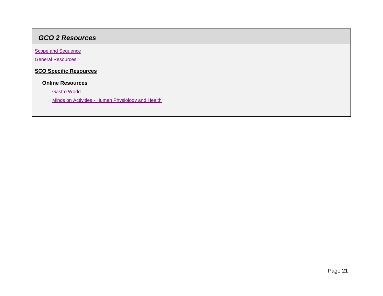# *GCO 2 Resources*

**Scope and Sequence** 

[General Resources](#page-38-0)

**SCO Specific Resources**

 **Online Resources**

[Gastro World](http://dblabas2.weebly.com/team-activity-4-optional-gastro-world.html)

Minds on Activities - [Human Physiology and Health](http://serendip.brynmawr.edu/exchange/bioactivities)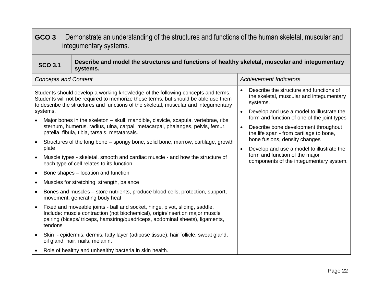<span id="page-20-0"></span>

| GCO <sub>3</sub><br>Demonstrate an understanding of the structures and functions of the human skeletal, muscular and<br>integumentary systems. |                                                                                                                               |                                                                                                                                                                                                                                                                                                                                                                                                                                                                                                                                                                                                                                                                                                                                                                                                                                                                                                                                                                                                                                                                                |                                                                                                                                                                                                                                                                                                                                                                                                                                           |  |  |
|------------------------------------------------------------------------------------------------------------------------------------------------|-------------------------------------------------------------------------------------------------------------------------------|--------------------------------------------------------------------------------------------------------------------------------------------------------------------------------------------------------------------------------------------------------------------------------------------------------------------------------------------------------------------------------------------------------------------------------------------------------------------------------------------------------------------------------------------------------------------------------------------------------------------------------------------------------------------------------------------------------------------------------------------------------------------------------------------------------------------------------------------------------------------------------------------------------------------------------------------------------------------------------------------------------------------------------------------------------------------------------|-------------------------------------------------------------------------------------------------------------------------------------------------------------------------------------------------------------------------------------------------------------------------------------------------------------------------------------------------------------------------------------------------------------------------------------------|--|--|
|                                                                                                                                                | Describe and model the structures and functions of healthy skeletal, muscular and integumentary<br><b>SCO 3.1</b><br>systems. |                                                                                                                                                                                                                                                                                                                                                                                                                                                                                                                                                                                                                                                                                                                                                                                                                                                                                                                                                                                                                                                                                |                                                                                                                                                                                                                                                                                                                                                                                                                                           |  |  |
|                                                                                                                                                | <b>Concepts and Content</b>                                                                                                   |                                                                                                                                                                                                                                                                                                                                                                                                                                                                                                                                                                                                                                                                                                                                                                                                                                                                                                                                                                                                                                                                                | <b>Achievement Indicators</b>                                                                                                                                                                                                                                                                                                                                                                                                             |  |  |
| $\bullet$<br>$\bullet$<br>$\bullet$                                                                                                            | systems.<br>plate                                                                                                             | Students should develop a working knowledge of the following concepts and terms.<br>Students will not be required to memorize these terms, but should be able use them<br>to describe the structures and functions of the skeletal, muscular and integumentary<br>Major bones in the skeleton – skull, mandible, clavicle, scapula, vertebrae, ribs<br>sternum, humerus, radius, ulna, carpal, metacarpal, phalanges, pelvis, femur,<br>patella, fibula, tibia, tarsals, metatarsals.<br>Structures of the long bone – spongy bone, solid bone, marrow, cartilage, growth<br>Muscle types - skeletal, smooth and cardiac muscle - and how the structure of<br>each type of cell relates to its function<br>Bone shapes - location and function<br>Muscles for stretching, strength, balance<br>Bones and muscles - store nutrients, produce blood cells, protection, support,<br>movement, generating body heat<br>Fixed and moveable joints - ball and socket, hinge, pivot, sliding, saddle.<br>Include: muscle contraction (not biochemical), origin/insertion major muscle | Describe the structure and functions of<br>the skeletal, muscular and integumentary<br>systems.<br>Develop and use a model to illustrate the<br>form and function of one of the joint types<br>Describe bone development throughout<br>the life span - from cartilage to bone,<br>bone fusions, density changes<br>Develop and use a model to illustrate the<br>form and function of the major<br>components of the integumentary system. |  |  |
|                                                                                                                                                | tendons                                                                                                                       | pairing (biceps/ triceps, hamstring/quadriceps, abdominal sheets), ligaments,                                                                                                                                                                                                                                                                                                                                                                                                                                                                                                                                                                                                                                                                                                                                                                                                                                                                                                                                                                                                  |                                                                                                                                                                                                                                                                                                                                                                                                                                           |  |  |
|                                                                                                                                                | Skin - epidermis, dermis, fatty layer (adipose tissue), hair follicle, sweat gland,<br>oil gland, hair, nails, melanin.       |                                                                                                                                                                                                                                                                                                                                                                                                                                                                                                                                                                                                                                                                                                                                                                                                                                                                                                                                                                                                                                                                                |                                                                                                                                                                                                                                                                                                                                                                                                                                           |  |  |
|                                                                                                                                                |                                                                                                                               | Role of healthy and unhealthy bacteria in skin health.                                                                                                                                                                                                                                                                                                                                                                                                                                                                                                                                                                                                                                                                                                                                                                                                                                                                                                                                                                                                                         |                                                                                                                                                                                                                                                                                                                                                                                                                                           |  |  |

Л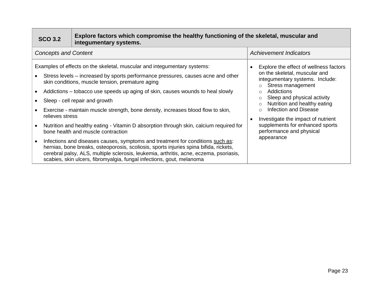| <b>SCO 3.2</b>              | Explore factors which compromise the healthy functioning of the skeletal, muscular and<br>integumentary systems.                                                                                                                                                                                                                                                                                                                                                                                                                                                                                                                                                                                                                                                                                                                                                                                       |                                                                                                                                                                                                                                                                                                                                                                                                                                      |
|-----------------------------|--------------------------------------------------------------------------------------------------------------------------------------------------------------------------------------------------------------------------------------------------------------------------------------------------------------------------------------------------------------------------------------------------------------------------------------------------------------------------------------------------------------------------------------------------------------------------------------------------------------------------------------------------------------------------------------------------------------------------------------------------------------------------------------------------------------------------------------------------------------------------------------------------------|--------------------------------------------------------------------------------------------------------------------------------------------------------------------------------------------------------------------------------------------------------------------------------------------------------------------------------------------------------------------------------------------------------------------------------------|
| <b>Concepts and Content</b> |                                                                                                                                                                                                                                                                                                                                                                                                                                                                                                                                                                                                                                                                                                                                                                                                                                                                                                        | <b>Achievement Indicators</b>                                                                                                                                                                                                                                                                                                                                                                                                        |
| relieves stress             | Examples of effects on the skeletal, muscular and integumentary systems:<br>Stress levels – increased by sports performance pressures, causes acne and other<br>skin conditions, muscle tension, premature aging<br>Addictions – tobacco use speeds up aging of skin, causes wounds to heal slowly<br>Sleep - cell repair and growth<br>Exercise - maintain muscle strength, bone density, increases blood flow to skin,<br>Nutrition and healthy eating - Vitamin D absorption through skin, calcium required for<br>bone health and muscle contraction<br>Infections and diseases causes, symptoms and treatment for conditions such as:<br>hernias, bone breaks, osteoporosis, scoliosis, sports injuries spina bifida, rickets,<br>cerebral palsy, ALS, multiple sclerosis, leukemia, arthritis, acne, eczema, psoriasis,<br>scabies, skin ulcers, fibromyalgia, fungal infections, gout, melanoma | Explore the effect of wellness factors<br>on the skeletal, muscular and<br>integumentary systems. Include:<br>Stress management<br>$\circ$<br>Addictions<br>$\Omega$<br>Sleep and physical activity<br>$\circ$<br>Nutrition and healthy eating<br>$\circ$<br><b>Infection and Disease</b><br>$\circ$<br>Investigate the impact of nutrient<br>$\bullet$<br>supplements for enhanced sports<br>performance and physical<br>appearance |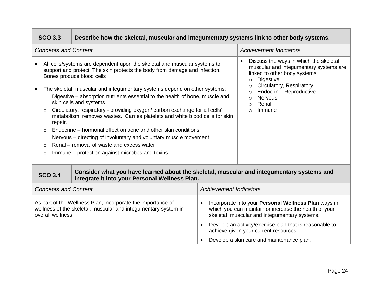|                                                                                                                                                    | <b>SCO 3.3</b>                                                                                                                                                                                                                                                                                                                                                                                                                                                                                                                                                                                                                                                                                                                                                                                                                                               | Describe how the skeletal, muscular and integumentary systems link to other body systems.                                                   |                               |                                                                                                                                                                                                                                                                                                                 |  |
|----------------------------------------------------------------------------------------------------------------------------------------------------|--------------------------------------------------------------------------------------------------------------------------------------------------------------------------------------------------------------------------------------------------------------------------------------------------------------------------------------------------------------------------------------------------------------------------------------------------------------------------------------------------------------------------------------------------------------------------------------------------------------------------------------------------------------------------------------------------------------------------------------------------------------------------------------------------------------------------------------------------------------|---------------------------------------------------------------------------------------------------------------------------------------------|-------------------------------|-----------------------------------------------------------------------------------------------------------------------------------------------------------------------------------------------------------------------------------------------------------------------------------------------------------------|--|
|                                                                                                                                                    | <b>Concepts and Content</b>                                                                                                                                                                                                                                                                                                                                                                                                                                                                                                                                                                                                                                                                                                                                                                                                                                  |                                                                                                                                             |                               | <b>Achievement Indicators</b>                                                                                                                                                                                                                                                                                   |  |
| $\bullet$<br>$\bullet$                                                                                                                             | All cells/systems are dependent upon the skeletal and muscular systems to<br>support and protect. The skin protects the body from damage and infection.<br>Bones produce blood cells<br>The skeletal, muscular and integumentary systems depend on other systems:<br>Digestive – absorption nutrients essential to the health of bone, muscle and<br>$\circ$<br>skin cells and systems<br>Circulatory, respiratory - providing oxygen/ carbon exchange for all cells'<br>$\circ$<br>metabolism, removes wastes. Carries platelets and white blood cells for skin<br>repair.<br>Endocrine – hormonal effect on acne and other skin conditions<br>$\circ$<br>Nervous – directing of involuntary and voluntary muscle movement<br>$\circ$<br>Renal – removal of waste and excess water<br>$\circ$<br>Immune – protection against microbes and toxins<br>$\circ$ |                                                                                                                                             |                               | Discuss the ways in which the skeletal,<br>$\bullet$<br>muscular and integumentary systems are<br>linked to other body systems<br><b>Digestive</b><br>$\circ$<br>Circulatory, Respiratory<br>$\circ$<br>Endocrine, Reproductive<br>Nervous<br>$\bigcirc$<br>Renal<br>$\circ$<br>Immune<br>$\bigcap$             |  |
|                                                                                                                                                    | <b>SCO 3.4</b>                                                                                                                                                                                                                                                                                                                                                                                                                                                                                                                                                                                                                                                                                                                                                                                                                                               | Consider what you have learned about the skeletal, muscular and integumentary systems and<br>integrate it into your Personal Wellness Plan. |                               |                                                                                                                                                                                                                                                                                                                 |  |
|                                                                                                                                                    | <b>Concepts and Content</b>                                                                                                                                                                                                                                                                                                                                                                                                                                                                                                                                                                                                                                                                                                                                                                                                                                  |                                                                                                                                             | <b>Achievement Indicators</b> |                                                                                                                                                                                                                                                                                                                 |  |
| As part of the Wellness Plan, incorporate the importance of<br>wellness of the skeletal, muscular and integumentary system in<br>overall wellness. |                                                                                                                                                                                                                                                                                                                                                                                                                                                                                                                                                                                                                                                                                                                                                                                                                                                              |                                                                                                                                             | $\bullet$                     | Incorporate into your Personal Wellness Plan ways in<br>which you can maintain or increase the health of your<br>skeletal, muscular and integumentary systems.<br>Develop an activity/exercise plan that is reasonable to<br>achieve given your current resources.<br>Develop a skin care and maintenance plan. |  |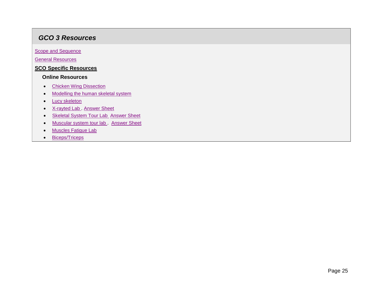# *GCO 3 Resources*

[Scope and Sequence](#page-35-0)

[General Resources](#page-38-0)

## **SCO Specific Resources**

#### **Online Resources**

- [Chicken Wing Dissection](http://www2.mbusd.org/staff/pware/labs/ChickenWingDissection.pdf)
- [Modelling the human skeletal system](http://efossils.org/sites/efossils.org/files/Printout_Hsapiens_Adult.pdf)
- [Lucy skeleton](http://efossils.org/sites/efossils.org/files/Printout_Lucy.pdf)
- X-rayted Lab [Answer Sheet](http://www.myscience8.com/human_biology/xrayted_lab_answer_sheet.pdf)
- [Skeletal System Tour Lab](http://www.myscience8.com/human_biology/skeletal_system_tour_lab.pdf) [Answer Sheet](http://www.myscience8.com/human_biology/skeletal_system_tour_lab_answer_sheet.pdf)
- [Muscular system tour lab .](http://www.myscience8.com/human_biology/muscular_system_lab_2007.pdf) [Answer Sheet](http://www.myscience8.com/human_biology/muscular_system_lab_2007_answer_sheet.pdf)
- [Muscles Fatigue Lab](http://stagganatomy.weebly.com/uploads/3/8/5/1/38519353/muscle_fatigue_lab_1.pdf)
- [Biceps/Triceps](http://www.discoveryeducation.com/teachers/free-lesson-plans/muscles-in-motion.cfm)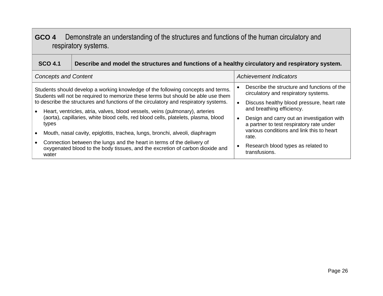# <span id="page-24-0"></span>**GCO 4** Demonstrate an understanding of the structures and functions of the human circulatory and respiratory systems.

| <b>SCO 4.1</b>              | Describe and model the structures and functions of a healthy circulatory and respiratory system.                                                                                                                                                                                                                                                                                                                                                                                                                                                                                                                                                                               |                                                                                                                                                                                                                                                                                                                                                                                                 |  |
|-----------------------------|--------------------------------------------------------------------------------------------------------------------------------------------------------------------------------------------------------------------------------------------------------------------------------------------------------------------------------------------------------------------------------------------------------------------------------------------------------------------------------------------------------------------------------------------------------------------------------------------------------------------------------------------------------------------------------|-------------------------------------------------------------------------------------------------------------------------------------------------------------------------------------------------------------------------------------------------------------------------------------------------------------------------------------------------------------------------------------------------|--|
| <b>Concepts and Content</b> |                                                                                                                                                                                                                                                                                                                                                                                                                                                                                                                                                                                                                                                                                | <b>Achievement Indicators</b>                                                                                                                                                                                                                                                                                                                                                                   |  |
| types<br>water              | Students should develop a working knowledge of the following concepts and terms.<br>Students will not be required to memorize these terms but should be able use them<br>to describe the structures and functions of the circulatory and respiratory systems.<br>Heart, ventricles, atria, valves, blood vessels, veins (pulmonary), arteries<br>(aorta), capillaries, white blood cells, red blood cells, platelets, plasma, blood<br>Mouth, nasal cavity, epiglottis, trachea, lungs, bronchi, alveoli, diaphragm<br>Connection between the lungs and the heart in terms of the delivery of<br>oxygenated blood to the body tissues, and the excretion of carbon dioxide and | Describe the structure and functions of the<br>circulatory and respiratory systems.<br>Discuss healthy blood pressure, heart rate<br>$\bullet$<br>and breathing efficiency.<br>Design and carry out an investigation with<br>$\bullet$<br>a partner to test respiratory rate under<br>various conditions and link this to heart<br>rate.<br>Research blood types as related to<br>transfusions. |  |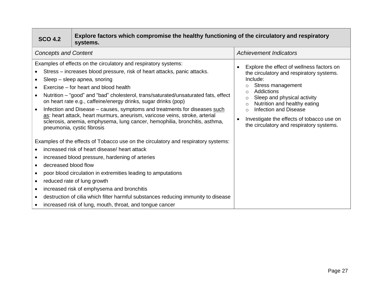| <b>SCO 4.2</b>                                                                                                                                                                                                                                                                                                                                                                                                                                                                                                                                                                                                                                       | Explore factors which compromise the healthy functioning of the circulatory and respiratory<br>systems. |                                                                                                                                                                                                                                                                                                                                                                                                          |  |
|------------------------------------------------------------------------------------------------------------------------------------------------------------------------------------------------------------------------------------------------------------------------------------------------------------------------------------------------------------------------------------------------------------------------------------------------------------------------------------------------------------------------------------------------------------------------------------------------------------------------------------------------------|---------------------------------------------------------------------------------------------------------|----------------------------------------------------------------------------------------------------------------------------------------------------------------------------------------------------------------------------------------------------------------------------------------------------------------------------------------------------------------------------------------------------------|--|
| <b>Concepts and Content</b>                                                                                                                                                                                                                                                                                                                                                                                                                                                                                                                                                                                                                          |                                                                                                         | <b>Achievement Indicators</b>                                                                                                                                                                                                                                                                                                                                                                            |  |
| Examples of effects on the circulatory and respiratory systems:<br>Stress – increases blood pressure, risk of heart attacks, panic attacks.<br>Sleep - sleep apnea, snoring<br>Exercise – for heart and blood health<br>Nutrition - "good" and "bad" cholesterol, trans/saturated/unsaturated fats, effect<br>on heart rate e.g., caffeine/energy drinks, sugar drinks (pop)<br>Infection and Disease – causes, symptoms and treatments for diseases such<br>as: heart attack, heart murmurs, aneurism, varicose veins, stroke, arterial<br>sclerosis, anemia, emphysema, lung cancer, hemophilia, bronchitis, asthma,<br>pneumonia, cystic fibrosis |                                                                                                         | Explore the effect of wellness factors on<br>$\bullet$<br>the circulatory and respiratory systems.<br>Include:<br>Stress management<br>$\circ$<br>Addictions<br>◯<br>Sleep and physical activity<br>$\circ$<br>Nutrition and healthy eating<br>$\Omega$<br><b>Infection and Disease</b><br>$\circ$<br>Investigate the effects of tobacco use on<br>$\bullet$<br>the circulatory and respiratory systems. |  |
|                                                                                                                                                                                                                                                                                                                                                                                                                                                                                                                                                                                                                                                      | Examples of the effects of Tobacco use on the circulatory and respiratory systems:                      |                                                                                                                                                                                                                                                                                                                                                                                                          |  |
|                                                                                                                                                                                                                                                                                                                                                                                                                                                                                                                                                                                                                                                      | increased risk of heart disease/ heart attack                                                           |                                                                                                                                                                                                                                                                                                                                                                                                          |  |
| decreased blood flow                                                                                                                                                                                                                                                                                                                                                                                                                                                                                                                                                                                                                                 | increased blood pressure, hardening of arteries                                                         |                                                                                                                                                                                                                                                                                                                                                                                                          |  |
| poor blood circulation in extremities leading to amputations<br>reduced rate of lung growth<br>$\bullet$                                                                                                                                                                                                                                                                                                                                                                                                                                                                                                                                             |                                                                                                         |                                                                                                                                                                                                                                                                                                                                                                                                          |  |
| $\bullet$                                                                                                                                                                                                                                                                                                                                                                                                                                                                                                                                                                                                                                            | increased risk of emphysema and bronchitis                                                              |                                                                                                                                                                                                                                                                                                                                                                                                          |  |
| destruction of cilia which filter harmful substances reducing immunity to disease<br>increased risk of lung, mouth, throat, and tongue cancer                                                                                                                                                                                                                                                                                                                                                                                                                                                                                                        |                                                                                                         |                                                                                                                                                                                                                                                                                                                                                                                                          |  |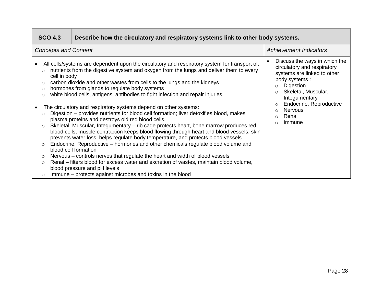| <b>SCO 4.3</b><br>Describe how the circulatory and respiratory systems link to other body systems.                         |                                                                                                                                                                                                                                                                                                                                                                                                                                                                                                                                                                                                                                                                                                                                                                                                                                                                                                                                                                                                                                                                                                                                                                                                                                                                                         |                                                                                                                                                                                                                                                                                                       |  |
|----------------------------------------------------------------------------------------------------------------------------|-----------------------------------------------------------------------------------------------------------------------------------------------------------------------------------------------------------------------------------------------------------------------------------------------------------------------------------------------------------------------------------------------------------------------------------------------------------------------------------------------------------------------------------------------------------------------------------------------------------------------------------------------------------------------------------------------------------------------------------------------------------------------------------------------------------------------------------------------------------------------------------------------------------------------------------------------------------------------------------------------------------------------------------------------------------------------------------------------------------------------------------------------------------------------------------------------------------------------------------------------------------------------------------------|-------------------------------------------------------------------------------------------------------------------------------------------------------------------------------------------------------------------------------------------------------------------------------------------------------|--|
| <b>Concepts and Content</b>                                                                                                |                                                                                                                                                                                                                                                                                                                                                                                                                                                                                                                                                                                                                                                                                                                                                                                                                                                                                                                                                                                                                                                                                                                                                                                                                                                                                         | <b>Achievement Indicators</b>                                                                                                                                                                                                                                                                         |  |
| $\circ$<br>cell in body<br>$\circ$<br>$\circ$<br>$\circ$<br>$\circ$<br>$\circ$<br>$\circ$<br>$\circ$<br>$\circ$<br>$\circ$ | All cells/systems are dependent upon the circulatory and respiratory system for transport of:<br>nutrients from the digestive system and oxygen from the lungs and deliver them to every<br>carbon dioxide and other wastes from cells to the lungs and the kidneys<br>hormones from glands to regulate body systems<br>white blood cells, antigens, antibodies to fight infection and repair injuries<br>The circulatory and respiratory systems depend on other systems:<br>Digestion – provides nutrients for blood cell formation; liver detoxifies blood, makes<br>plasma proteins and destroys old red blood cells.<br>Skeletal, Muscular, Integumentary – rib cage protects heart, bone marrow produces red<br>blood cells, muscle contraction keeps blood flowing through heart and blood vessels, skin<br>prevents water loss, helps regulate body temperature, and protects blood vessels<br>Endocrine, Reproductive – hormones and other chemicals regulate blood volume and<br>blood cell formation<br>Nervous – controls nerves that regulate the heart and width of blood vessels<br>Renal – filters blood for excess water and excretion of wastes, maintain blood volume,<br>blood pressure and pH levels<br>Immune – protects against microbes and toxins in the blood | Discuss the ways in which the<br>$\bullet$<br>circulatory and respiratory<br>systems are linked to other<br>body systems:<br>Digestion<br>$\circ$<br>Skeletal, Muscular,<br>$\circ$<br>Integumentary<br>Endocrine, Reproductive<br>$\circ$<br><b>Nervous</b><br>$\circ$<br>Renal<br>$\circ$<br>Immune |  |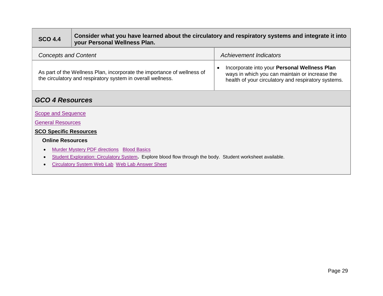# **SCO 4.4 Consider what you have learned about the circulatory and respiratory systems and integrate it into your Personal Wellness Plan.**

| <b>Concepts and Content</b>                                                                                                            | Achievement Indicators                                                                                                                                |  |
|----------------------------------------------------------------------------------------------------------------------------------------|-------------------------------------------------------------------------------------------------------------------------------------------------------|--|
| As part of the Wellness Plan, incorporate the importance of wellness of<br>the circulatory and respiratory system in overall wellness. | Incorporate into your Personal Wellness Plan<br>ways in which you can maintain or increase the<br>health of your circulatory and respiratory systems. |  |

# *GCO 4 Resources*

**[Scope and Sequence](#page-35-0)** 

[General Resources](#page-38-0)

#### **SCO Specific Resources**

#### **Online Resources**

- **•** [Murder Mystery PDF directions](http://sciencespot.net/Media/FrnsScience/bloodtypinglab2wkst.pdf) [Blood Basics](http://sciencespot.net/Media/FrnsScience/bloodbasicscard1.pdf)
- [Student Exploration: Circulatory System](https://www.explorelearning.com/index.cfm?method=cResource.dspDetail&ResourceID=662)**.** Explore blood flow through the body. Student worksheet available.
- [Circulatory System Web Lab](http://www.myscience8.com/human_biology/respiratory_circulatory_system_weblab/)[Web Lab Answer Sheet](http://www.myscience8.com/human_biology/circ_resp_weblab_answer_sheet.pdf)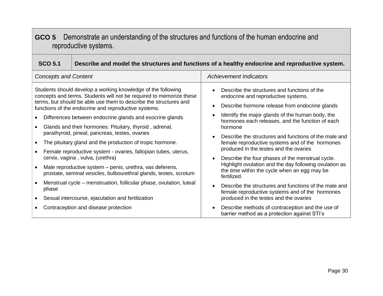# <span id="page-28-0"></span>**GCO 5** Demonstrate an understanding of the structures and functions of the human endocrine and reproductive systems.

| <b>SCO 5.1</b>                                                                                                                                                                                                                                                   | Describe and model the structures and functions of a healthy endocrine and reproductive system.                                                                               |                                                                                                                                                    |  |
|------------------------------------------------------------------------------------------------------------------------------------------------------------------------------------------------------------------------------------------------------------------|-------------------------------------------------------------------------------------------------------------------------------------------------------------------------------|----------------------------------------------------------------------------------------------------------------------------------------------------|--|
| <b>Concepts and Content</b>                                                                                                                                                                                                                                      |                                                                                                                                                                               | <b>Achievement Indicators</b>                                                                                                                      |  |
| Students should develop a working knowledge of the following<br>concepts and terms. Students will not be required to memorize these<br>terms, but should be able use them to describe the structures and<br>functions of the endocrine and reproductive systems. |                                                                                                                                                                               | Describe the structures and functions of the<br>endocrine and reproductive systems.<br>Describe hormone release from endocrine glands<br>$\bullet$ |  |
|                                                                                                                                                                                                                                                                  | Identify the major glands of the human body, the<br>$\bullet$<br>Differences between endocrine glands and exocrine glands<br>hormones each releases, and the function of each |                                                                                                                                                    |  |
|                                                                                                                                                                                                                                                                  | Glands and their hormones: Pituitary, thyroid, adrenal,<br>parathyroid, pineal, pancreas, testes, ovaries                                                                     | hormone<br>Describe the structures and functions of the male and<br>$\bullet$                                                                      |  |
|                                                                                                                                                                                                                                                                  | The pituitary gland and the production of tropic hormone.                                                                                                                     | female reproductive systems and of the hormones                                                                                                    |  |
|                                                                                                                                                                                                                                                                  | Female reproductive system - ovaries, fallopian tubes, uterus,<br>cervix, vagina, vulva, (urethra)                                                                            | produced in the testes and the ovaries<br>Describe the four phases of the menstrual cycle.<br>$\bullet$                                            |  |
|                                                                                                                                                                                                                                                                  | Male reproductive system – penis, urethra, vas deferens,<br>prostate, seminal vesicles, bulbourethral glands, testes, scrotum                                                 | Highlight ovulation and the day following ovulation as<br>the time within the cycle when an egg may be<br>fertilized.                              |  |
| phase                                                                                                                                                                                                                                                            | Menstrual cycle – menstruation, follicular phase, ovulation, luteal                                                                                                           | Describe the structures and functions of the male and<br>$\bullet$<br>female reproductive systems and of the hormones                              |  |
|                                                                                                                                                                                                                                                                  | Sexual intercourse, ejaculation and fertilization                                                                                                                             | produced in the testes and the ovaries                                                                                                             |  |
|                                                                                                                                                                                                                                                                  | Contraception and disease protection                                                                                                                                          | Describe methods of contraception and the use of<br>$\bullet$<br>barrier method as a protection against STI's                                      |  |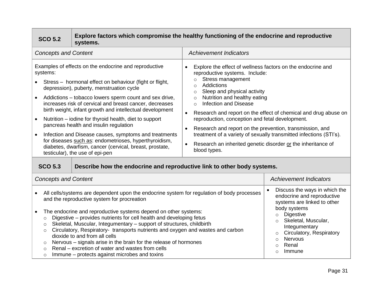| Explore factors which compromise the healthy functioning of the endocrine and reproductive<br><b>SCO 5.2</b><br>systems.                                                                                                                                                                                                                                                                                                                                                                                                                                                                                                                                                                                                                                                           |  |                                                                         |                                                                                                                                                                                                                                                                                                                                                                                                                                                                                                                                                                                                                                                        |                                                                                                                                                                                                                                                                                      |
|------------------------------------------------------------------------------------------------------------------------------------------------------------------------------------------------------------------------------------------------------------------------------------------------------------------------------------------------------------------------------------------------------------------------------------------------------------------------------------------------------------------------------------------------------------------------------------------------------------------------------------------------------------------------------------------------------------------------------------------------------------------------------------|--|-------------------------------------------------------------------------|--------------------------------------------------------------------------------------------------------------------------------------------------------------------------------------------------------------------------------------------------------------------------------------------------------------------------------------------------------------------------------------------------------------------------------------------------------------------------------------------------------------------------------------------------------------------------------------------------------------------------------------------------------|--------------------------------------------------------------------------------------------------------------------------------------------------------------------------------------------------------------------------------------------------------------------------------------|
| <b>Concepts and Content</b>                                                                                                                                                                                                                                                                                                                                                                                                                                                                                                                                                                                                                                                                                                                                                        |  |                                                                         | <b>Achievement Indicators</b>                                                                                                                                                                                                                                                                                                                                                                                                                                                                                                                                                                                                                          |                                                                                                                                                                                                                                                                                      |
| Examples of effects on the endocrine and reproductive<br>systems:<br>Stress - hormonal effect on behaviour (fight or flight,<br>depression), puberty, menstruation cycle<br>Addictions – tobacco lowers sperm count and sex drive,<br>increases risk of cervical and breast cancer, decreases<br>birth weight, infant growth and intellectual development<br>Nutrition – iodine for thyroid health, diet to support<br>$\bullet$<br>pancreas health and insulin regulation<br>Infection and Disease causes, symptoms and treatments<br>$\bullet$<br>for diseases such as: endometrioses, hyperthyroidism,<br>diabetes, dwarfism, cancer (cervical, breast, prostate,<br>testicular), the use of epi-pen<br><b>SCO 5.3</b>                                                          |  | Describe how the endocrine and reproductive link to other body systems. | Explore the effect of wellness factors on the endocrine and<br>reproductive systems. Include:<br>Stress management<br>Addictions<br>$\circ$<br>Sleep and physical activity<br>O<br>Nutrition and healthy eating<br>$\Omega$<br><b>Infection and Disease</b><br>$\Omega$<br>Research and report on the effect of chemical and drug abuse on<br>$\bullet$<br>reproduction, conception and fetal development.<br>Research and report on the prevention, transmission, and<br>$\bullet$<br>treatment of a variety of sexually transmitted infections (STI's).<br>Research an inherited genetic disorder or the inheritance of<br>$\bullet$<br>blood types. |                                                                                                                                                                                                                                                                                      |
| <b>Concepts and Content</b>                                                                                                                                                                                                                                                                                                                                                                                                                                                                                                                                                                                                                                                                                                                                                        |  |                                                                         | <b>Achievement Indicators</b>                                                                                                                                                                                                                                                                                                                                                                                                                                                                                                                                                                                                                          |                                                                                                                                                                                                                                                                                      |
| All cells/systems are dependent upon the endocrine system for regulation of body processes<br>and the reproductive system for procreation<br>The endocrine and reproductive systems depend on other systems:<br>Digestive – provides nutrients for cell health and developing fetus<br>$\circ$<br>Skeletal, Muscular, Integumentary - support of structures, childbirth<br>$\circ$<br>Circulatory, Respiratory- transports nutrients and oxygen and wastes and carbon<br>$\circ$<br>dioxide to and from all cells<br>Nervous – signals arise in the brain for the release of hormones<br>$\circ$<br>Renal – excretion of water and wastes from cells<br>$\circ$<br>the contract of the contract of the contract of the contract of the contract of the contract of the contract of |  |                                                                         |                                                                                                                                                                                                                                                                                                                                                                                                                                                                                                                                                                                                                                                        | Discuss the ways in which the<br>endocrine and reproductive<br>systems are linked to other<br>body systems<br><b>Digestive</b><br>$\circ$<br>Skeletal, Muscular,<br>Integumentary<br>Circulatory, Respiratory<br><b>Nervous</b><br>$\circ$<br>Renal<br>$\Omega$<br>Immune<br>$\circ$ |

o Immune – protects against microbes and toxins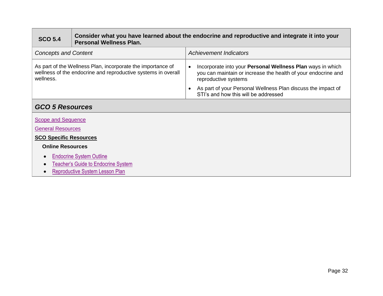| <b>SCO 5.4</b>                                                                                                                            | Consider what you have learned about the endocrine and reproductive and integrate it into your<br><b>Personal Wellness Plan.</b> |                                                                                                                                                     |  |
|-------------------------------------------------------------------------------------------------------------------------------------------|----------------------------------------------------------------------------------------------------------------------------------|-----------------------------------------------------------------------------------------------------------------------------------------------------|--|
| <b>Concepts and Content</b>                                                                                                               |                                                                                                                                  | <b>Achievement Indicators</b>                                                                                                                       |  |
| As part of the Wellness Plan, incorporate the importance of<br>wellness of the endocrine and reproductive systems in overall<br>wellness. |                                                                                                                                  | Incorporate into your Personal Wellness Plan ways in which<br>you can maintain or increase the health of your endocrine and<br>reproductive systems |  |
|                                                                                                                                           |                                                                                                                                  | As part of your Personal Wellness Plan discuss the impact of<br>STI's and how this will be addressed                                                |  |
| <b>GCO 5 Resources</b>                                                                                                                    |                                                                                                                                  |                                                                                                                                                     |  |

| Scope and Sequence                     |  |  |  |
|----------------------------------------|--|--|--|
| <b>General Resources</b>               |  |  |  |
| <b>SCO Specific Resources</b>          |  |  |  |
| <b>Online Resources</b>                |  |  |  |
| <b>Endocrine System Outline</b>        |  |  |  |
| Teacher's Guide to Endocrine System    |  |  |  |
| <b>Reproductive System Lesson Plan</b> |  |  |  |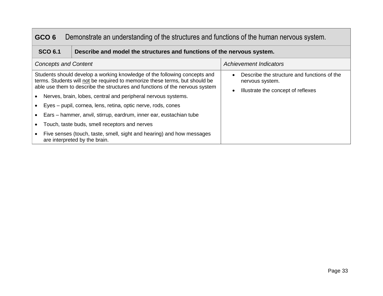# <span id="page-31-0"></span>**GCO 6** Demonstrate an understanding of the structures and functions of the human nervous system.

# **SCO 6.1 Describe and model the structures and functions of the nervous system.**

| <b>Concepts and Content</b>                                                                                                                                                                                                                                                                                                                                                                                                                                                                                                                                               | <b>Achievement Indicators</b>                                                                        |
|---------------------------------------------------------------------------------------------------------------------------------------------------------------------------------------------------------------------------------------------------------------------------------------------------------------------------------------------------------------------------------------------------------------------------------------------------------------------------------------------------------------------------------------------------------------------------|------------------------------------------------------------------------------------------------------|
| Students should develop a working knowledge of the following concepts and<br>terms. Students will not be required to memorize these terms, but should be<br>able use them to describe the structures and functions of the nervous system<br>Nerves, brain, lobes, central and peripheral nervous systems.<br>Eyes – pupil, cornea, lens, retina, optic nerve, rods, cones<br>Ears – hammer, anvil, stirrup, eardrum, inner ear, eustachian tube<br>Touch, taste buds, smell receptors and nerves<br>Five senses (touch, taste, smell, sight and hearing) and how messages | Describe the structure and functions of the<br>nervous system.<br>Illustrate the concept of reflexes |
| are interpreted by the brain.                                                                                                                                                                                                                                                                                                                                                                                                                                                                                                                                             |                                                                                                      |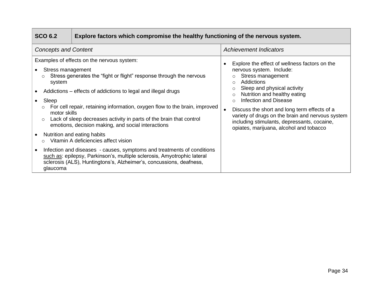| Explore factors which compromise the healthy functioning of the nervous system.<br><b>SCO 6.2</b> |                                                                                                                                                                                                                                                                                                                                                                                                                                                                                                                                                                                                                                                                                                  |                                                                                                                                                                                                                                                                                                                                                                                                                                                                          |  |
|---------------------------------------------------------------------------------------------------|--------------------------------------------------------------------------------------------------------------------------------------------------------------------------------------------------------------------------------------------------------------------------------------------------------------------------------------------------------------------------------------------------------------------------------------------------------------------------------------------------------------------------------------------------------------------------------------------------------------------------------------------------------------------------------------------------|--------------------------------------------------------------------------------------------------------------------------------------------------------------------------------------------------------------------------------------------------------------------------------------------------------------------------------------------------------------------------------------------------------------------------------------------------------------------------|--|
| <b>Concepts and Content</b>                                                                       |                                                                                                                                                                                                                                                                                                                                                                                                                                                                                                                                                                                                                                                                                                  | <b>Achievement Indicators</b>                                                                                                                                                                                                                                                                                                                                                                                                                                            |  |
| Stress management<br>system<br>Sleep<br>$\circ$<br>motor skills<br>glaucoma                       | Examples of effects on the nervous system:<br>Stress generates the "fight or flight" response through the nervous<br>Addictions – effects of addictions to legal and illegal drugs<br>For cell repair, retaining information, oxygen flow to the brain, improved<br>Lack of sleep decreases activity in parts of the brain that control<br>emotions, decision making, and social interactions<br>Nutrition and eating habits<br>Vitamin A deficiencies affect vision<br>Infection and diseases - causes, symptoms and treatments of conditions<br>such as: epilepsy, Parkinson's, multiple sclerosis, Amyotrophic lateral<br>sclerosis (ALS), Huntingtons's, Alzheimer's, concussions, deafness, | Explore the effect of wellness factors on the<br>$\bullet$<br>nervous system. Include:<br>Stress management<br>Addictions<br>$\bigcirc$<br>Sleep and physical activity<br>$\circ$<br>Nutrition and healthy eating<br>$\Omega$<br><b>Infection and Disease</b><br>$\bigcap$<br>Discuss the short and long term effects of a<br>variety of drugs on the brain and nervous system<br>including stimulants, depressants, cocaine,<br>opiates, marijuana, alcohol and tobacco |  |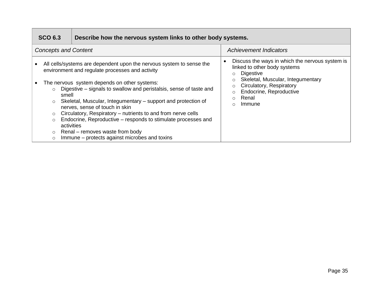|                             | Describe how the nervous system links to other body systems.<br><b>SCO 6.3</b> |                                                                                                                                                                                                                                                                                                                                                                                                                                                                   |                                                                                                                                                                         |
|-----------------------------|--------------------------------------------------------------------------------|-------------------------------------------------------------------------------------------------------------------------------------------------------------------------------------------------------------------------------------------------------------------------------------------------------------------------------------------------------------------------------------------------------------------------------------------------------------------|-------------------------------------------------------------------------------------------------------------------------------------------------------------------------|
| <b>Concepts and Content</b> |                                                                                |                                                                                                                                                                                                                                                                                                                                                                                                                                                                   | <b>Achievement Indicators</b>                                                                                                                                           |
|                             |                                                                                | All cells/systems are dependent upon the nervous system to sense the<br>environment and regulate processes and activity                                                                                                                                                                                                                                                                                                                                           | Discuss the ways in which the nervous system is<br>$\bullet$<br>linked to other body systems<br>Digestive<br>$\circ$                                                    |
|                             | $\circ$<br>$\circ$<br>$\circ$<br>$\circ$<br>$\circ$<br>$\circ$                 | The nervous system depends on other systems:<br>Digestive – signals to swallow and peristalsis, sense of taste and<br>smell<br>Skeletal, Muscular, Integumentary – support and protection of<br>nerves, sense of touch in skin<br>Circulatory, Respiratory – nutrients to and from nerve cells<br>Endocrine, Reproductive – responds to stimulate processes and<br>activities<br>Renal – removes waste from body<br>Immune – protects against microbes and toxins | Skeletal, Muscular, Integumentary<br>$\circ$<br>Circulatory, Respiratory<br>$\circ$<br>Endocrine, Reproductive<br>$\circ$<br>Renal<br>$\bigcap$<br>Immune<br>$\bigcirc$ |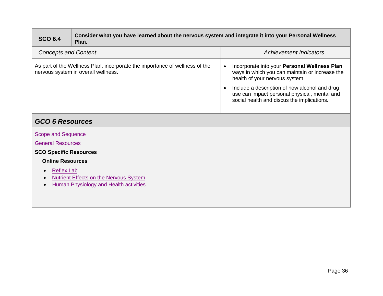| <b>SCO 6.4</b>                                                                                                      | Consider what you have learned about the nervous system and integrate it into your Personal Wellness<br>Plan. |                                                                                                                                                                                                                                                                                             |  |
|---------------------------------------------------------------------------------------------------------------------|---------------------------------------------------------------------------------------------------------------|---------------------------------------------------------------------------------------------------------------------------------------------------------------------------------------------------------------------------------------------------------------------------------------------|--|
| <b>Concepts and Content</b>                                                                                         |                                                                                                               | <b>Achievement Indicators</b>                                                                                                                                                                                                                                                               |  |
| As part of the Wellness Plan, incorporate the importance of wellness of the<br>nervous system in overall wellness.  |                                                                                                               | Incorporate into your Personal Wellness Plan<br>$\bullet$<br>ways in which you can maintain or increase the<br>health of your nervous system<br>Include a description of how alcohol and drug<br>use can impact personal physical, mental and<br>social health and discus the implications. |  |
| <b>GCO 6 Resources</b>                                                                                              |                                                                                                               |                                                                                                                                                                                                                                                                                             |  |
| <b>Scope and Sequence</b><br><b>General Resources</b><br><b>SCO Specific Resources</b><br><b>Online Resources</b>   |                                                                                                               |                                                                                                                                                                                                                                                                                             |  |
| <b>Reflex Lab</b><br><b>Nutrient Effects on the Nervous System</b><br><b>Human Physiology and Health activities</b> |                                                                                                               |                                                                                                                                                                                                                                                                                             |  |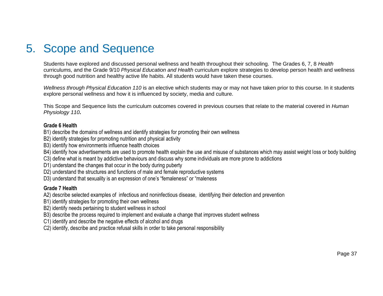# <span id="page-35-0"></span>5. Scope and Sequence

Students have explored and discussed personal wellness and health throughout their schooling. The Grades 6, 7, 8 *Health*  curriculums, and the Grade 9/10 *Physical Education and Health* curriculum explore strategies to develop person health and wellness through good nutrition and healthy active life habits. All students would have taken these courses.

*Wellness through Physical Education 110* is an elective which students may or may not have taken prior to this course. In it students explore personal wellness and how it is influenced by society, media and culture.

This Scope and Sequence lists the curriculum outcomes covered in previous courses that relate to the material covered in *Human Physiology 110***.** 

#### **Grade 6 Health**

- B1) describe the domains of wellness and identify strategies for promoting their own wellness
- B2) identify strategies for promoting nutrition and physical activity
- B3) identify how environments influence health choices
- B4) identify how advertisements are used to promote health explain the use and misuse of substances which may assist weight loss or body building
- C3) define what is meant by addictive behaviours and discuss why some individuals are more prone to addictions
- D1) understand the changes that occur in the body during puberty
- D2) understand the structures and functions of male and female reproductive systems
- D3) understand that sexuality is an expression of one's "femaleness" or "maleness

#### **Grade 7 Health**

- A2) describe selected examples of infectious and noninfectious disease, identifying their detection and prevention
- B1) identify strategies for promoting their own wellness
- B2) identify needs pertaining to student wellness in school
- B3) describe the process required to implement and evaluate a change that improves student wellness
- C1) identify and describe the negative effects of alcohol and drugs
- C2) identify, describe and practice refusal skills in order to take personal responsibility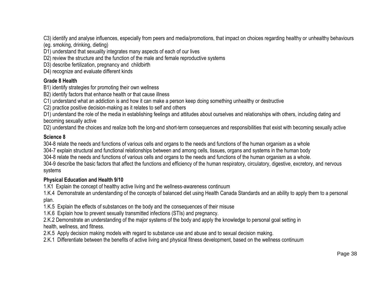C3) identify and analyse influences, especially from peers and media/promotions, that impact on choices regarding healthy or unhealthy behaviours

- (eg. smoking, drinking, dieting)
- D1) understand that sexuality integrates many aspects of each of our lives
- D2) review the structure and the function of the male and female reproductive systems
- D3) describe fertilization, pregnancy and childbirth
- D4) recognize and evaluate different kinds

#### **Grade 8 Health**

- B1) identify strategies for promoting their own wellness
- B2) identify factors that enhance health or that cause illness
- C1) understand what an addiction is and how it can make a person keep doing something unhealthy or destructive
- C2) practice positive decision-making as it relates to self and others

D1) understand the role of the media in establishing feelings and attitudes about ourselves and relationships with others, including dating and becoming sexually active

D2) understand the choices and realize both the long-and short-term consequences and responsibilities that exist with becoming sexually active

## **Science 8**

304-8 relate the needs and functions of various cells and organs to the needs and functions of the human organism as a whole

304-7 explain structural and functional relationships between and among cells, tissues, organs and systems in the human body

304-8 relate the needs and functions of various cells and organs to the needs and functions of the human organism as a whole.

304-9 describe the basic factors that affect the functions and efficiency of the human respiratory, circulatory, digestive, excretory, and nervous systems

## **Physical Education and Health 9/10**

1.K1 Explain the concept of healthy active living and the wellness-awareness continuum

1.K.4 Demonstrate an understanding of the concepts of balanced diet using Health Canada Standards and an ability to apply them to a personal plan.

1.K.5 Explain the effects of substances on the body and the consequences of their misuse

1.K.6 Explain how to prevent sexually transmitted infections (STIs) and pregnancy.

2.K.2 Demonstrate an understanding of the major systems of the body and apply the knowledge to personal goal setting in health, wellness, and fitness.

- 2.K.5 Apply decision making models with regard to substance use and abuse and to sexual decision making.
- 2.K.1 Differentiate between the benefits of active living and physical fitness development, based on the wellness continuum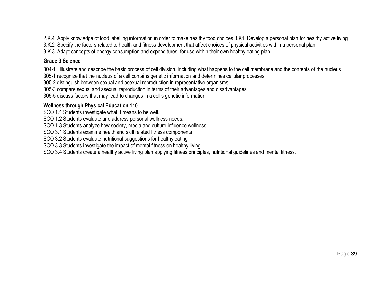2.K.4 Apply knowledge of food labelling information in order to make healthy food choices 3.K1 Develop a personal plan for healthy active living

3.K.2 Specify the factors related to health and fitness development that affect choices of physical activities within a personal plan.

3.K.3 Adapt concepts of energy consumption and expenditures, for use within their own healthy eating plan.

## **Grade 9 Science**

304-11 illustrate and describe the basic process of cell division, including what happens to the cell membrane and the contents of the nucleus

305-1 recognize that the nucleus of a cell contains genetic information and determines cellular processes

305-2 distinguish between sexual and asexual reproduction in representative organisms

305-3 compare sexual and asexual reproduction in terms of their advantages and disadvantages

305-5 discuss factors that may lead to changes in a cell's genetic information.

## **Wellness through Physical Education 110**

SCO 1.1 Students investigate what it means to be well.

SCO 1.2 Students evaluate and address personal wellness needs.

SCO 1.3 Students analyze how society, media and culture influence wellness.

SCO 3.1 Students examine health and skill related fitness components

SCO 3.2 Students evaluate nutritional suggestions for healthy eating

SCO 3.3 Students investigate the impact of mental fitness on healthy living

SCO 3.4 Students create a healthy active living plan applying fitness principles, nutritional guidelines and mental fitness.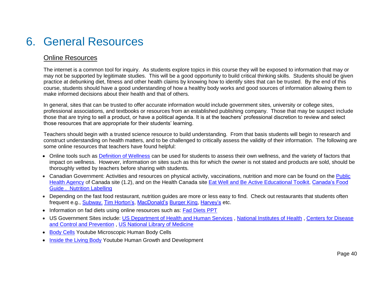# <span id="page-38-0"></span>6. General Resources

# Online Resources

The internet is a common tool for inquiry. As students explore topics in this course they will be exposed to information that may or may not be supported by legitimate studies. This will be a good opportunity to build critical thinking skills. Students should be given practice at debunking diet, fitness and other health claims by knowing how to identify sites that can be trusted. By the end of this course, students should have a good understanding of how a healthy body works and good sources of information allowing them to make informed decisions about their health and that of others.

In general, sites that can be trusted to offer accurate information would include government sites, university or college sites, professional associations, and textbooks or resources from an established publishing company. Those that may be suspect include those that are trying to sell a product, or have a political agenda. It is at the teachers' professional discretion to review and select those resources that are appropriate for their students' learning.

Teachers should begin with a trusted science resource to build understanding. From that basis students will begin to research and construct understanding on health matters, and to be challenged to critically assess the validity of their information. The following are some online resources that teachers have found helpful:

- Online tools such as [Definition of Wellness](http://definitionofwellness.com/wellness-assessment/) can be used for students to assess their own wellness, and the variety of factors that impact on wellness. However, information on sites such as this for which the owner is not stated and products are sold, should be thoroughly vetted by teachers before sharing with students.
- Canadian Government: Activities and resources on physical activity, vaccinations, nutrition and more can be found on the Public [Health Agency](http://www.phac-aspc.gc.ca/about_apropos/index-eng.php) of Canada site (1.2), and on the Health Canada site [Eat Well and Be Active Educational Toolkit,](http://www.hc-sc.gc.ca/fn-an/food-guide-aliment/educ-comm/toolkit-trousse/plan-1-eng.php) Canada's Food [Guide](http://www.hc-sc.gc.ca/fn-an/food-guide-aliment/index-eng.php) . [Nutrition Labelling](http://www.hc-sc.gc.ca/fn-an/label-etiquet/nutrition/index-eng.php)
- Depending on the fast food restaurant, nutrition guides are more or less easy to find. Check out restaurants that students often frequent e.g., **[Subway.](http://w.subway.com/en-CA) [Tim Horton's,](http://www.timhortons.com/ca/en/menu/sandwiches-and-bowls.php?gclid=CjwKEAjwv8iwBRC35-_e8aPqwCESJAB8khP9EsjN_VpAaoypSfoth7wPAlBV13gopIuVjNf-wcwXCxoC0IXw_wcB) [MacDonald's](http://www.mcdonalds.ca/ca/en/food.html?gclid=CjwKEAjwv8iwBRC35-_e8aPqwCESJAB8khP9L8o39jQ5onHwr24xXrtyxEPluW04P5wkLqMRuZ6ZgBoC2xTw_wcB) [Burger King,](http://burgerking.ca/) [Harvey's](https://www.harveys.ca/mobile/en/home) etc.**
- Information on fad diets using online resources such as: Fad Diets PPT
- US Government Sites include: [US Department of Health and Human Services](http://healthfinder.gov/) , [National Institutes of Health](http://www.nih.gov/) , [Centers for Disease](http://www.cdc.gov/)  [and Control and Prevention](http://www.cdc.gov/) , [US National Library of Medicine](https://www.nlm.nih.gov/medlineplus/)
- [Body Cells](https://www.youtube.com/watch?v=MYKM_iGY9K8) Youtube Microscopic Human Body Cells
- [Inside the Living Body](https://www.youtube.com/watch?v=HBIYwiktPsQ) Youtube Human Growth and Development